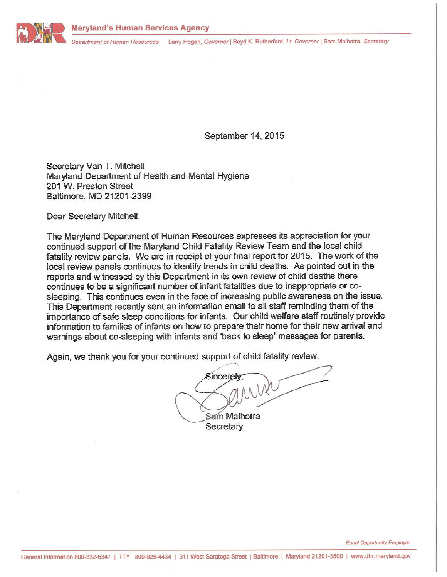

Department of Human Resources Larry Hogan, Governor | Boyd K. Rutherford, Lt. Governor | Sam Malhotra, Secretary

September 14, 2015

Secretary Van T. Mitchell Maryland Department of Health and Mental Hygiene 201 W. Preston Street Baltimore, MD 21201-2399

Dear Secretary Mitchell:

The Maryland Department of Human Resources expresses its appreciation for your continued support of the Maryland Child Fatality Review Team and the local child fatality review panels. We are in receipt of your final report for 2015. The work of the local review panels continues to identify trends in child deaths. As pointed out in the reports and witnessed by this Department in its own review of child deaths there continues to be a significant number of infant fatalities due to inappropriate or cosleeping. This continues even in the face of increasing public awareness on the issue. This Department recently sent an information email to all staff reminding them of the importance of safe sleep conditions for infants. Our child welfare staff routinely provide information to families of infants on how to prepare their home for their new arrival and warnings about co-sleeping with infants and 'back to sleep' messages for parents.

Again, we thank you for your continued support of child fatality review.

Sincerel Sam Malhotra

Secretary

**Equal Opportunity Employer**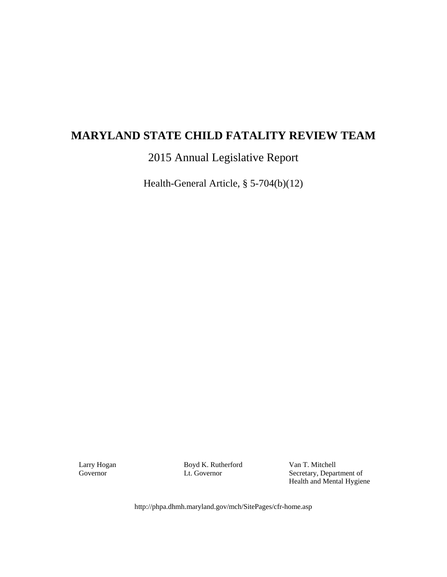# **MARYLAND STATE CHILD FATALITY REVIEW TEAM**

2015 Annual Legislative Report

Health-General Article, § 5-704(b)(12)

Larry Hogan Boyd K. Rutherford Van T. Mitchell<br>Governor Lt. Governor Secretary, Depar

 Governor Lt. Governor Secretary, Department of Health and Mental Hygiene

http://phpa.dhmh.maryland.gov/mch/SitePages/cfr-home.asp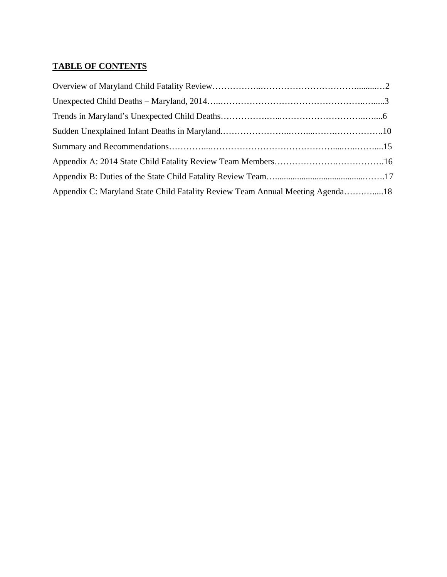### **TABLE OF CONTENTS**

| Appendix C: Maryland State Child Fatality Review Team Annual Meeting Agenda18 |  |
|-------------------------------------------------------------------------------|--|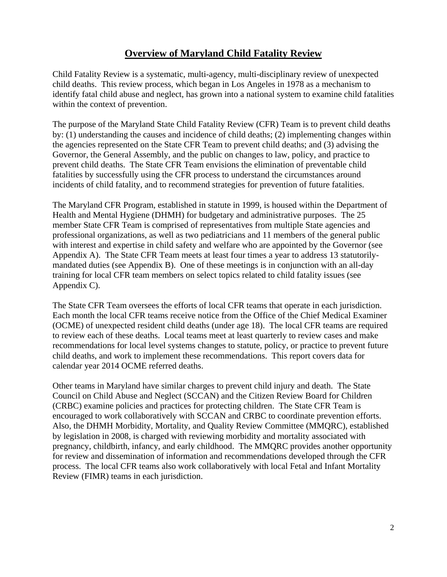### **Overview of Maryland Child Fatality Review**

Child Fatality Review is a systematic, multi-agency, multi-disciplinary review of unexpected child deaths. This review process, which began in Los Angeles in 1978 as a mechanism to identify fatal child abuse and neglect, has grown into a national system to examine child fatalities within the context of prevention.

The purpose of the Maryland State Child Fatality Review (CFR) Team is to prevent child deaths by: (1) understanding the causes and incidence of child deaths; (2) implementing changes within the agencies represented on the State CFR Team to prevent child deaths; and (3) advising the Governor, the General Assembly, and the public on changes to law, policy, and practice to prevent child deaths. The State CFR Team envisions the elimination of preventable child fatalities by successfully using the CFR process to understand the circumstances around incidents of child fatality, and to recommend strategies for prevention of future fatalities.

The Maryland CFR Program, established in statute in 1999, is housed within the Department of Health and Mental Hygiene (DHMH) for budgetary and administrative purposes. The 25 member State CFR Team is comprised of representatives from multiple State agencies and professional organizations, as well as two pediatricians and 11 members of the general public with interest and expertise in child safety and welfare who are appointed by the Governor (see Appendix A). The State CFR Team meets at least four times a year to address 13 statutorilymandated duties (see Appendix B). One of these meetings is in conjunction with an all-day training for local CFR team members on select topics related to child fatality issues (see Appendix C).

The State CFR Team oversees the efforts of local CFR teams that operate in each jurisdiction. Each month the local CFR teams receive notice from the Office of the Chief Medical Examiner (OCME) of unexpected resident child deaths (under age 18). The local CFR teams are required to review each of these deaths. Local teams meet at least quarterly to review cases and make recommendations for local level systems changes to statute, policy, or practice to prevent future child deaths, and work to implement these recommendations. This report covers data for calendar year 2014 OCME referred deaths.

Other teams in Maryland have similar charges to prevent child injury and death. The State Council on Child Abuse and Neglect (SCCAN) and the Citizen Review Board for Children (CRBC) examine policies and practices for protecting children. The State CFR Team is encouraged to work collaboratively with SCCAN and CRBC to coordinate prevention efforts. Also, the DHMH Morbidity, Mortality, and Quality Review Committee (MMQRC), established by legislation in 2008, is charged with reviewing morbidity and mortality associated with pregnancy, childbirth, infancy, and early childhood. The MMQRC provides another opportunity for review and dissemination of information and recommendations developed through the CFR process. The local CFR teams also work collaboratively with local Fetal and Infant Mortality Review (FIMR) teams in each jurisdiction.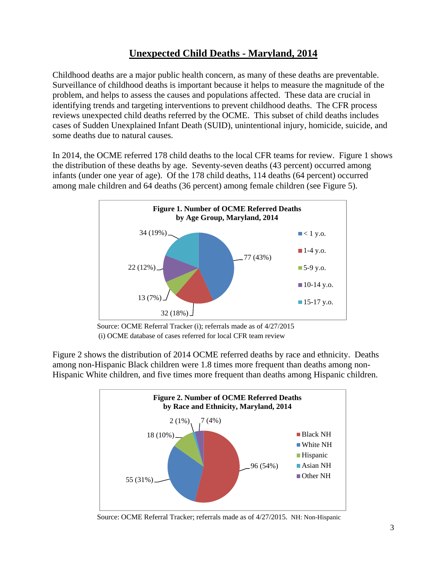### **Unexpected Child Deaths - Maryland, 2014**

Childhood deaths are a major public health concern, as many of these deaths are preventable. Surveillance of childhood deaths is important because it helps to measure the magnitude of the problem, and helps to assess the causes and populations affected. These data are crucial in identifying trends and targeting interventions to prevent childhood deaths. The CFR process reviews unexpected child deaths referred by the OCME. This subset of child deaths includes cases of Sudden Unexplained Infant Death (SUID), unintentional injury, homicide, suicide, and some deaths due to natural causes.

In 2014, the OCME referred 178 child deaths to the local CFR teams for review. Figure 1 shows the distribution of these deaths by age. Seventy-seven deaths (43 percent) occurred among infants (under one year of age). Of the 178 child deaths, 114 deaths (64 percent) occurred among male children and 64 deaths (36 percent) among female children (see Figure 5).



Source: OCME Referral Tracker (i); referrals made as of  $4/27/2015$ (i) OCME database of cases referred for local CFR team review

Figure 2 shows the distribution of 2014 OCME referred deaths by race and ethnicity. Deaths among non-Hispanic Black children were 1.8 times more frequent than deaths among non-Hispanic White children, and five times more frequent than deaths among Hispanic children.



Source: OCME Referral Tracker; referrals made as of 4/27/2015. NH: Non-Hispanic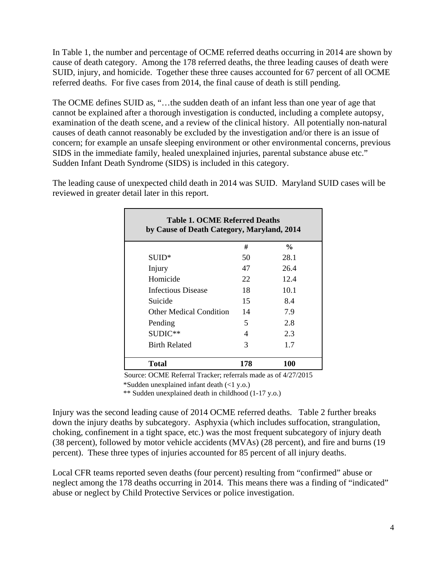In Table 1, the number and percentage of OCME referred deaths occurring in 2014 are shown by cause of death category. Among the 178 referred deaths, the three leading causes of death were SUID, injury, and homicide. Together these three causes accounted for 67 percent of all OCME referred deaths. For five cases from 2014, the final cause of death is still pending.

The OCME defines SUID as, "…the sudden death of an infant less than one year of age that cannot be explained after a thorough investigation is conducted, including a complete autopsy, examination of the death scene, and a review of the clinical history. All potentially non-natural causes of death cannot reasonably be excluded by the investigation and/or there is an issue of concern; for example an unsafe sleeping environment or other environmental concerns, previous SIDS in the immediate family, healed unexplained injuries, parental substance abuse etc." Sudden Infant Death Syndrome (SIDS) is included in this category.

The leading cause of unexpected child death in 2014 was SUID. Maryland SUID cases will be reviewed in greater detail later in this report.

|                                | <b>Table 1. OCME Referred Deaths</b><br>by Cause of Death Category, Maryland, 2014 |                    |  |  |
|--------------------------------|------------------------------------------------------------------------------------|--------------------|--|--|
|                                | #                                                                                  | $\frac{0}{\alpha}$ |  |  |
| SUID*                          | 50                                                                                 | 28.1               |  |  |
| Injury                         | 47                                                                                 | 26.4               |  |  |
| Homicide                       | 22                                                                                 | 12.4               |  |  |
| Infectious Disease             | 18                                                                                 | 10.1               |  |  |
| Suicide                        | 15                                                                                 | 8.4                |  |  |
| <b>Other Medical Condition</b> | 14                                                                                 | 7.9                |  |  |
| Pending                        | 5                                                                                  | 2.8                |  |  |
| SUDIC**                        | 4                                                                                  | 2.3                |  |  |
| <b>Birth Related</b>           | 3                                                                                  | 1.7                |  |  |
| Total                          | 178                                                                                | 100                |  |  |

Source: OCME Referral Tracker; referrals made as of 4/27/2015 \*Sudden unexplained infant death (<1 y.o.)

\*\* Sudden unexplained death in childhood (1-17 y.o.)

Injury was the second leading cause of 2014 OCME referred deaths. Table 2 further breaks down the injury deaths by subcategory. Asphyxia (which includes suffocation, strangulation, choking, confinement in a tight space, etc.) was the most frequent subcategory of injury death (38 percent), followed by motor vehicle accidents (MVAs) (28 percent), and fire and burns (19 percent). These three types of injuries accounted for 85 percent of all injury deaths.

Local CFR teams reported seven deaths (four percent) resulting from "confirmed" abuse or neglect among the 178 deaths occurring in 2014. This means there was a finding of "indicated" abuse or neglect by Child Protective Services or police investigation.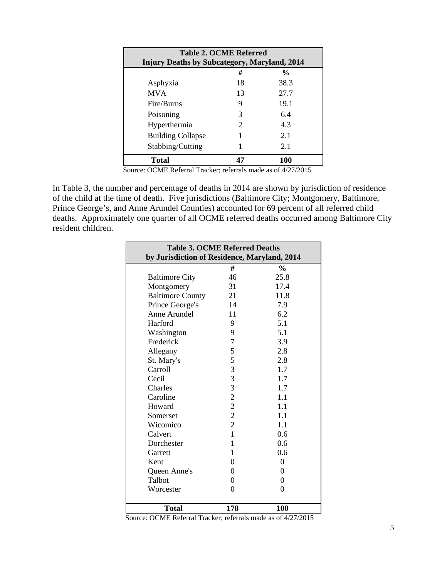| <b>Table 2. OCME Referred</b><br><b>Injury Deaths by Subcategory, Maryland, 2014</b> |                       |               |  |
|--------------------------------------------------------------------------------------|-----------------------|---------------|--|
|                                                                                      | #                     | $\frac{0}{0}$ |  |
| Asphyxia                                                                             | 18                    | 38.3          |  |
| <b>MVA</b>                                                                           | 13                    | 27.7          |  |
| Fire/Burns                                                                           | 9                     | 19.1          |  |
| Poisoning                                                                            | 3                     | 6.4           |  |
| Hyperthermia                                                                         | $\mathcal{D}_{\cdot}$ | 4.3           |  |
| <b>Building Collapse</b>                                                             |                       | 2.1           |  |
| Stabbing/Cutting                                                                     |                       | 2.1           |  |
| <b>Total</b>                                                                         |                       | 100           |  |

Source: OCME Referral Tracker; referrals made as of 4/27/2015

In Table 3, the number and percentage of deaths in 2014 are shown by jurisdiction of residence of the child at the time of death. Five jurisdictions (Baltimore City; Montgomery, Baltimore, Prince George's, and Anne Arundel Counties) accounted for 69 percent of all referred child deaths. Approximately one quarter of all OCME referred deaths occurred among Baltimore City resident children.

| <b>Table 3. OCME Referred Deaths</b>         |                |                  |  |
|----------------------------------------------|----------------|------------------|--|
| by Jurisdiction of Residence, Maryland, 2014 |                |                  |  |
|                                              | #              | $\frac{6}{9}$    |  |
| <b>Baltimore City</b>                        | 46             | 25.8             |  |
| Montgomery                                   | 31             | 17.4             |  |
| <b>Baltimore County</b>                      | 21             | 11.8             |  |
| Prince George's                              | 14             | 7.9              |  |
| Anne Arundel                                 | 11             | 6.2              |  |
| Harford                                      | 9              | 5.1              |  |
| Washington                                   | 9              | 5.1              |  |
| Frederick                                    | $\overline{7}$ | 3.9              |  |
| Allegany                                     | 5              | 2.8              |  |
| St. Mary's                                   |                | 2.8              |  |
| Carroll                                      | $rac{5}{3}$    | 1.7              |  |
| Cecil                                        | $\frac{3}{3}$  | 1.7              |  |
| Charles                                      |                | 1.7              |  |
| Caroline                                     | $\overline{c}$ | 1.1              |  |
| Howard                                       | $\overline{c}$ | 1.1              |  |
| Somerset                                     | $\overline{c}$ | 1.1              |  |
| Wicomico                                     | $\overline{c}$ | 1.1              |  |
| Calvert                                      | $\mathbf{1}$   | 0.6              |  |
| Dorchester                                   | $\mathbf{1}$   | 0.6              |  |
| Garrett                                      | 1              | 0.6              |  |
| Kent                                         | $\theta$       | $\boldsymbol{0}$ |  |
| Queen Anne's                                 | $\theta$       | $\theta$         |  |
| Talbot                                       | $\overline{0}$ | $\overline{0}$   |  |
| Worcester                                    | $\Omega$       | $\theta$         |  |
|                                              |                |                  |  |
| <b>Total</b>                                 | 178            | 100              |  |

Source: OCME Referral Tracker; referrals made as of 4/27/2015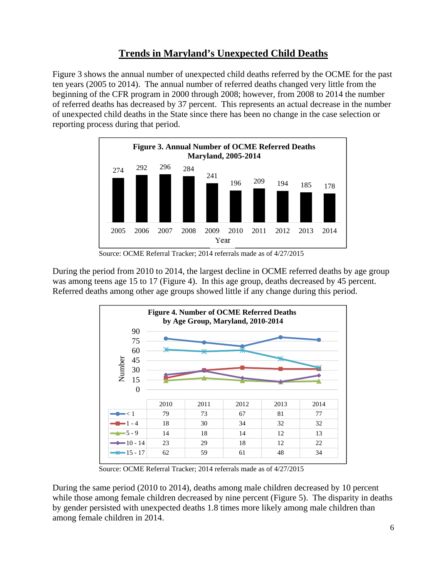## **Trends in Maryland's Unexpected Child Deaths**

Figure 3 shows the annual number of unexpected child deaths referred by the OCME for the past ten years (2005 to 2014). The annual number of referred deaths changed very little from the beginning of the CFR program in 2000 through 2008; however, from 2008 to 2014 the number of referred deaths has decreased by 37 percent. This represents an actual decrease in the number of unexpected child deaths in the State since there has been no change in the case selection or reporting process during that period.



Source: OCME Referral Tracker; 2014 referrals made as of 4/27/2015

During the period from 2010 to 2014, the largest decline in OCME referred deaths by age group was among teens age 15 to 17 (Figure 4). In this age group, deaths decreased by 45 percent. Referred deaths among other age groups showed little if any change during this period.



Source: OCME Referral Tracker; 2014 referrals made as of 4/27/2015

During the same period (2010 to 2014), deaths among male children decreased by 10 percent while those among female children decreased by nine percent (Figure 5). The disparity in deaths by gender persisted with unexpected deaths 1.8 times more likely among male children than among female children in 2014.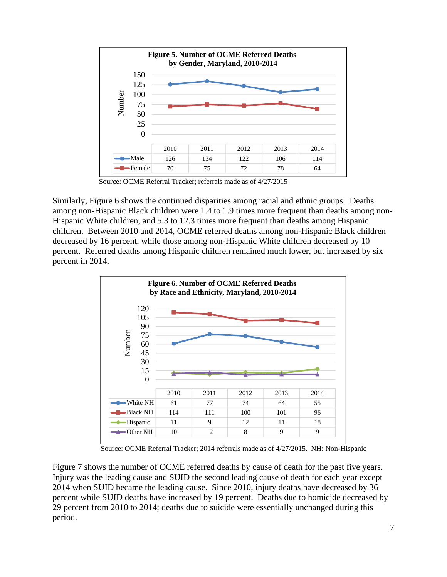

Source: OCME Referral Tracker; referrals made as of 4/27/2015

Similarly, Figure 6 shows the continued disparities among racial and ethnic groups. Deaths among non-Hispanic Black children were 1.4 to 1.9 times more frequent than deaths among non-Hispanic White children, and 5.3 to 12.3 times more frequent than deaths among Hispanic children. Between 2010 and 2014, OCME referred deaths among non-Hispanic Black children decreased by 16 percent, while those among non-Hispanic White children decreased by 10 percent. Referred deaths among Hispanic children remained much lower, but increased by six percent in 2014.



Source: OCME Referral Tracker; 2014 referrals made as of 4/27/2015. NH: Non-Hispanic

Figure 7 shows the number of OCME referred deaths by cause of death for the past five years. Injury was the leading cause and SUID the second leading cause of death for each year except 2014 when SUID became the leading cause. Since 2010, injury deaths have decreased by 36 percent while SUID deaths have increased by 19 percent. Deaths due to homicide decreased by 29 percent from 2010 to 2014; deaths due to suicide were essentially unchanged during this period.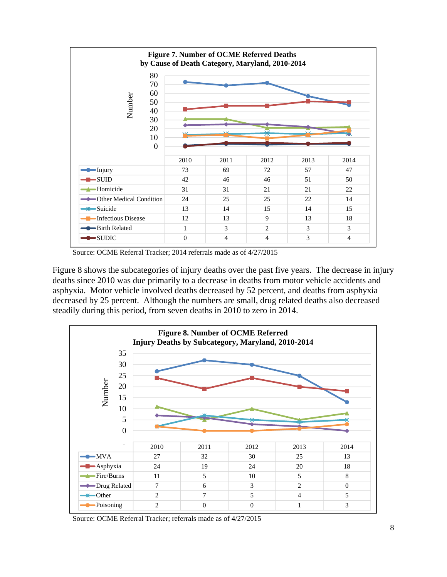

Source: OCME Referral Tracker; 2014 referrals made as of 4/27/2015

Figure 8 shows the subcategories of injury deaths over the past five years. The decrease in injury deaths since 2010 was due primarily to a decrease in deaths from motor vehicle accidents and asphyxia. Motor vehicle involved deaths decreased by 52 percent, and deaths from asphyxia decreased by 25 percent. Although the numbers are small, drug related deaths also decreased steadily during this period, from seven deaths in 2010 to zero in 2014.



Source: OCME Referral Tracker; referrals made as of 4/27/2015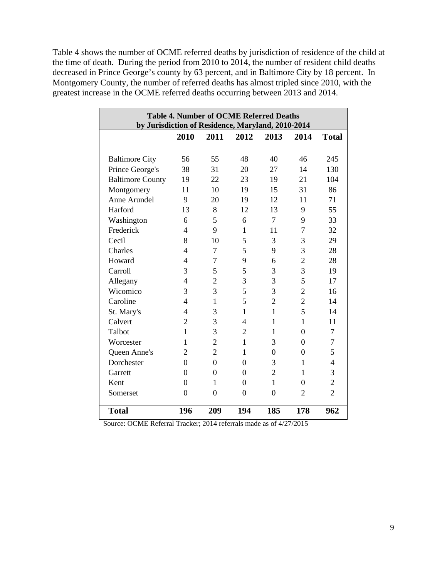Table 4 shows the number of OCME referred deaths by jurisdiction of residence of the child at the time of death. During the period from 2010 to 2014, the number of resident child deaths decreased in Prince George's county by 63 percent, and in Baltimore City by 18 percent. In Montgomery County, the number of referred deaths has almost tripled since 2010, with the greatest increase in the OCME referred deaths occurring between 2013 and 2014.

| <b>Table 4. Number of OCME Referred Deaths</b><br>by Jurisdiction of Residence, Maryland, 2010-2014 |                |                |                |                |                |                |
|-----------------------------------------------------------------------------------------------------|----------------|----------------|----------------|----------------|----------------|----------------|
|                                                                                                     | 2010           | 2011           | 2012           | 2013           | 2014           | <b>Total</b>   |
|                                                                                                     |                |                |                |                |                |                |
| <b>Baltimore City</b>                                                                               | 56             | 55             | 48             | 40             | 46             | 245            |
| Prince George's                                                                                     | 38             | 31             | 20             | 27             | 14             | 130            |
| <b>Baltimore County</b>                                                                             | 19             | 22             | 23             | 19             | 21             | 104            |
| Montgomery                                                                                          | 11             | 10             | 19             | 15             | 31             | 86             |
| Anne Arundel                                                                                        | 9              | 20             | 19             | 12             | 11             | 71             |
| Harford                                                                                             | 13             | 8              | 12             | 13             | 9              | 55             |
| Washington                                                                                          | 6              | 5              | 6              | 7              | 9              | 33             |
| Frederick                                                                                           | 4              | 9              | $\mathbf{1}$   | 11             | 7              | 32             |
| Cecil                                                                                               | 8              | 10             | 5              | 3              | 3              | 29             |
| Charles                                                                                             | $\overline{4}$ | $\overline{7}$ | 5              | 9              | 3              | 28             |
| Howard                                                                                              | $\overline{4}$ | 7              | 9              | 6              | $\overline{2}$ | 28             |
| Carroll                                                                                             | 3              | 5              | 5              | 3              | 3              | 19             |
| Allegany                                                                                            | $\overline{4}$ | $\overline{2}$ | $\overline{3}$ | 3              | 5              | 17             |
| Wicomico                                                                                            | 3              | 3              | 5              | 3              | $\overline{2}$ | 16             |
| Caroline                                                                                            | $\overline{4}$ | $\mathbf{1}$   | 5              | $\overline{2}$ | $\overline{2}$ | 14             |
| St. Mary's                                                                                          | $\overline{4}$ | 3              | 1              | $\mathbf{1}$   | 5              | 14             |
| Calvert                                                                                             | $\overline{2}$ | 3              | $\overline{4}$ | $\mathbf{1}$   | $\mathbf{1}$   | 11             |
| Talbot                                                                                              | $\mathbf{1}$   | 3              | $\overline{2}$ | $\mathbf{1}$   | $\theta$       | $\overline{7}$ |
| Worcester                                                                                           | 1              | $\overline{2}$ | $\mathbf{1}$   | 3              | $\theta$       | $\overline{7}$ |
| Queen Anne's                                                                                        | $\overline{c}$ | $\overline{2}$ | 1              | $\Omega$       | $\Omega$       | 5              |
| Dorchester                                                                                          | $\overline{0}$ | $\overline{0}$ | $\overline{0}$ | 3              | 1              | 4              |
| Garrett                                                                                             | $\Omega$       | $\overline{0}$ | $\overline{0}$ | $\overline{2}$ | $\mathbf{1}$   | 3              |
| Kent                                                                                                | $\overline{0}$ | $\mathbf{1}$   | $\overline{0}$ | $\mathbf{1}$   | $\overline{0}$ | $\overline{2}$ |
| Somerset                                                                                            | $\overline{0}$ | $\overline{0}$ | $\overline{0}$ | $\overline{0}$ | 2              | $\overline{2}$ |
| <b>Total</b>                                                                                        | 196            | 209            | 194            | 185            | 178            | 962            |

Source: OCME Referral Tracker; 2014 referrals made as of 4/27/2015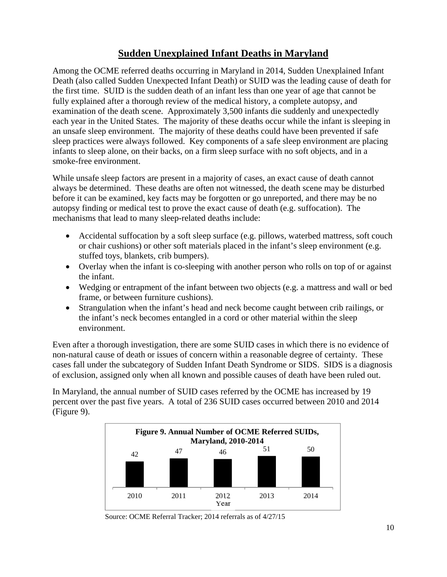## **Sudden Unexplained Infant Deaths in Maryland**

Among the OCME referred deaths occurring in Maryland in 2014, Sudden Unexplained Infant Death (also called Sudden Unexpected Infant Death) or SUID was the leading cause of death for the first time. SUID is the sudden death of an infant less than one year of age that cannot be fully explained after a thorough review of the medical history, a complete autopsy, and examination of the death scene. Approximately 3,500 infants die suddenly and unexpectedly each year in the United States. The majority of these deaths occur while the infant is sleeping in an unsafe sleep environment. The majority of these deaths could have been prevented if safe sleep practices were always followed. Key components of a safe sleep environment are placing infants to sleep alone, on their backs, on a firm sleep surface with no soft objects, and in a smoke-free environment.

While unsafe sleep factors are present in a majority of cases, an exact cause of death cannot always be determined. These deaths are often not witnessed, the death scene may be disturbed before it can be examined, key facts may be forgotten or go unreported, and there may be no autopsy finding or medical test to prove the exact cause of death (e.g. suffocation). The mechanisms that lead to many sleep-related deaths include:

- Accidental suffocation by a soft sleep surface (e.g. pillows, waterbed mattress, soft couch or chair cushions) or other soft materials placed in the infant's sleep environment (e.g. stuffed toys, blankets, crib bumpers).
- Overlay when the infant is co-sleeping with another person who rolls on top of or against the infant.
- Wedging or entrapment of the infant between two objects (e.g. a mattress and wall or bed frame, or between furniture cushions).
- Strangulation when the infant's head and neck become caught between crib railings, or the infant's neck becomes entangled in a cord or other material within the sleep environment.

Even after a thorough investigation, there are some SUID cases in which there is no evidence of non-natural cause of death or issues of concern within a reasonable degree of certainty. These cases fall under the subcategory of Sudden Infant Death Syndrome or SIDS. SIDS is a diagnosis of exclusion, assigned only when all known and possible causes of death have been ruled out.

In Maryland, the annual number of SUID cases referred by the OCME has increased by 19 percent over the past five years. A total of 236 SUID cases occurred between 2010 and 2014 (Figure 9).



Source: OCME Referral Tracker; 2014 referrals as of 4/27/15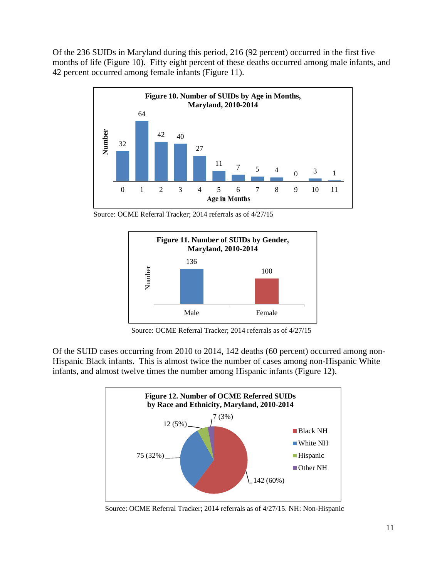Of the 236 SUIDs in Maryland during this period, 216 (92 percent) occurred in the first five months of life (Figure 10). Fifty eight percent of these deaths occurred among male infants, and 42 percent occurred among female infants (Figure 11).



Source: OCME Referral Tracker; 2014 referrals as of 4/27/15



Source: OCME Referral Tracker; 2014 referrals as of 4/27/15

Of the SUID cases occurring from 2010 to 2014, 142 deaths (60 percent) occurred among non-Hispanic Black infants. This is almost twice the number of cases among non-Hispanic White infants, and almost twelve times the number among Hispanic infants (Figure 12).



Source: OCME Referral Tracker; 2014 referrals as of 4/27/15. NH: Non-Hispanic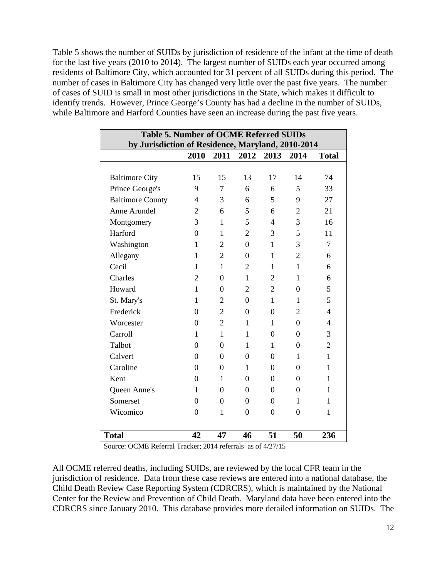Table 5 shows the number of SUIDs by jurisdiction of residence of the infant at the time of death for the last five years (2010 to 2014). The largest number of SUIDs each year occurred among residents of Baltimore City, which accounted for 31 percent of all SUIDs during this period. The number of cases in Baltimore City has changed very little over the past five years. The number of cases of SUID is small in most other jurisdictions in the State, which makes it difficult to identify trends. However, Prince George's County has had a decline in the number of SUIDs, while Baltimore and Harford Counties have seen an increase during the past five years.

| <b>Table 5. Number of OCME Referred SUIDs</b><br>by Jurisdiction of Residence, Maryland, 2010-2014 |                |                |                |                |                |                |
|----------------------------------------------------------------------------------------------------|----------------|----------------|----------------|----------------|----------------|----------------|
|                                                                                                    | 2010           | 2011           | 2012           | 2013           | 2014           | <b>Total</b>   |
|                                                                                                    |                |                |                |                |                |                |
| <b>Baltimore City</b>                                                                              | 15             | 15             | 13             | 17             | 14             | 74             |
| Prince George's                                                                                    | 9              | 7              | 6              | 6              | 5              | 33             |
| <b>Baltimore County</b>                                                                            | $\overline{4}$ | 3              | 6              | 5              | 9              | 27             |
| Anne Arundel                                                                                       | 2              | 6              | 5              | 6              | 2              | 21             |
| Montgomery                                                                                         | 3              | 1              | 5              | 4              | 3              | 16             |
| Harford                                                                                            | $\Omega$       | 1              | $\overline{2}$ | 3              | 5              | 11             |
| Washington                                                                                         | 1              | $\overline{2}$ | $\Omega$       | 1              | 3              | 7              |
| Allegany                                                                                           | 1              | $\overline{2}$ | $\theta$       | 1              | 2              | 6              |
| Cecil                                                                                              | 1              | 1              | $\overline{2}$ | 1              | 1              | 6              |
| Charles                                                                                            | $\overline{2}$ | $\theta$       | $\mathbf{1}$   | $\overline{2}$ | 1              | 6              |
| Howard                                                                                             | 1              | $\Omega$       | $\overline{2}$ | $\overline{2}$ | $\theta$       | 5              |
| St. Mary's                                                                                         | 1              | $\overline{2}$ | $\Omega$       | $\mathbf{1}$   | 1              | 5              |
| Frederick                                                                                          | $\theta$       | $\overline{2}$ | $\theta$       | $\overline{0}$ | $\overline{2}$ | 4              |
| Worcester                                                                                          | $\Omega$       | $\overline{2}$ | 1              | 1              | $\Omega$       | 4              |
| Carroll                                                                                            | 1              | 1              | 1              | $\Omega$       | $\Omega$       | 3              |
| Talbot                                                                                             | $\Omega$       | $\Omega$       | $\mathbf{1}$   | 1              | $\Omega$       | $\overline{2}$ |
| Calvert                                                                                            | $\theta$       | $\Omega$       | $\theta$       | $\theta$       | 1              | $\mathbf{1}$   |
| Caroline                                                                                           | $\theta$       | $\Omega$       | 1              | $\Omega$       | $\Omega$       | 1              |
| Kent                                                                                               | $\theta$       | 1              | $\Omega$       | $\theta$       | $\Omega$       | $\mathbf{1}$   |
| Queen Anne's                                                                                       | 1              | $\Omega$       | $\Omega$       | $\Omega$       | $\Omega$       | 1              |
| Somerset                                                                                           | $\theta$       | $\theta$       | $\overline{0}$ | $\overline{0}$ | 1              | 1              |
| Wicomico                                                                                           | $\theta$       | 1              | $\overline{0}$ | $\overline{0}$ | $\theta$       | $\mathbf{1}$   |
|                                                                                                    |                |                |                |                |                |                |
| <b>Total</b>                                                                                       | 42             | 47             | 46             | 51             | 50             | 236            |

Source: OCME Referral Tracker; 2014 referrals as of 4/27/15

All OCME referred deaths, including SUIDs, are reviewed by the local CFR team in the jurisdiction of residence. Data from these case reviews are entered into a national database, the Child Death Review Case Reporting System (CDRCRS), which is maintained by the National Center for the Review and Prevention of Child Death. Maryland data have been entered into the CDRCRS since January 2010. This database provides more detailed information on SUIDs. The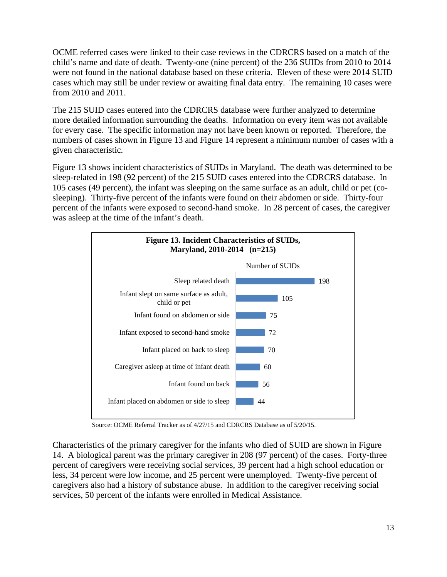OCME referred cases were linked to their case reviews in the CDRCRS based on a match of the child's name and date of death. Twenty-one (nine percent) of the 236 SUIDs from 2010 to 2014 were not found in the national database based on these criteria. Eleven of these were 2014 SUID cases which may still be under review or awaiting final data entry. The remaining 10 cases were from 2010 and 2011.

The 215 SUID cases entered into the CDRCRS database were further analyzed to determine more detailed information surrounding the deaths. Information on every item was not available for every case. The specific information may not have been known or reported. Therefore, the numbers of cases shown in Figure 13 and Figure 14 represent a minimum number of cases with a given characteristic.

Figure 13 shows incident characteristics of SUIDs in Maryland. The death was determined to be sleep-related in 198 (92 percent) of the 215 SUID cases entered into the CDRCRS database. In 105 cases (49 percent), the infant was sleeping on the same surface as an adult, child or pet (cosleeping). Thirty-five percent of the infants were found on their abdomen or side. Thirty-four percent of the infants were exposed to second-hand smoke. In 28 percent of cases, the caregiver was asleep at the time of the infant's death.



Source: OCME Referral Tracker as of 4/27/15 and CDRCRS Database as of 5/20/15.

Characteristics of the primary caregiver for the infants who died of SUID are shown in Figure 14. A biological parent was the primary caregiver in 208 (97 percent) of the cases. Forty-three percent of caregivers were receiving social services, 39 percent had a high school education or less, 34 percent were low income, and 25 percent were unemployed. Twenty-five percent of caregivers also had a history of substance abuse. In addition to the caregiver receiving social services, 50 percent of the infants were enrolled in Medical Assistance.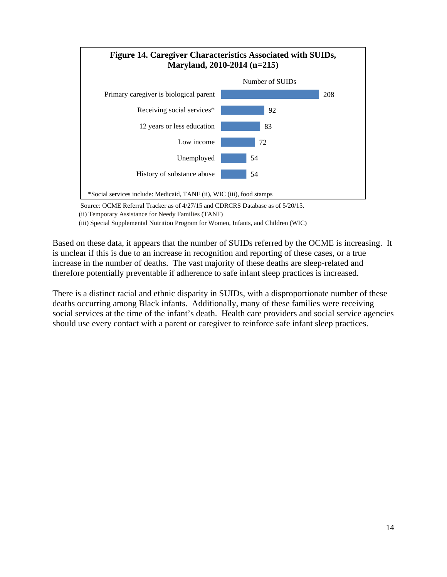

 Source: OCME Referral Tracker as of 4/27/15 and CDRCRS Database as of 5/20/15. (ii) Temporary Assistance for Needy Families (TANF)

(iii) Special Supplemental Nutrition Program for Women, Infants, and Children (WIC)

Based on these data, it appears that the number of SUIDs referred by the OCME is increasing. It is unclear if this is due to an increase in recognition and reporting of these cases, or a true increase in the number of deaths. The vast majority of these deaths are sleep-related and therefore potentially preventable if adherence to safe infant sleep practices is increased.

There is a distinct racial and ethnic disparity in SUIDs, with a disproportionate number of these deaths occurring among Black infants. Additionally, many of these families were receiving social services at the time of the infant's death. Health care providers and social service agencies should use every contact with a parent or caregiver to reinforce safe infant sleep practices.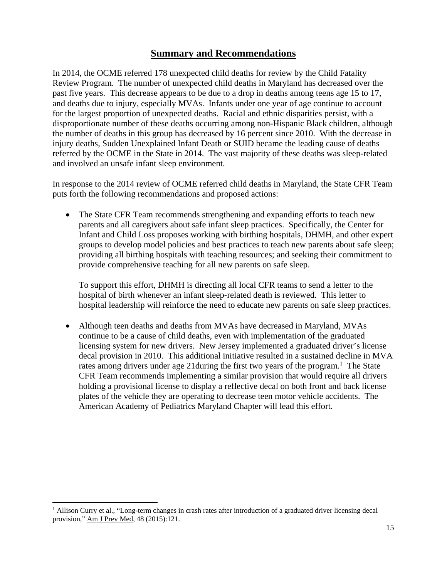#### **Summary and Recommendations**

In 2014, the OCME referred 178 unexpected child deaths for review by the Child Fatality Review Program. The number of unexpected child deaths in Maryland has decreased over the past five years. This decrease appears to be due to a drop in deaths among teens age 15 to 17, and deaths due to injury, especially MVAs. Infants under one year of age continue to account for the largest proportion of unexpected deaths. Racial and ethnic disparities persist, with a disproportionate number of these deaths occurring among non-Hispanic Black children, although the number of deaths in this group has decreased by 16 percent since 2010. With the decrease in injury deaths, Sudden Unexplained Infant Death or SUID became the leading cause of deaths referred by the OCME in the State in 2014. The vast majority of these deaths was sleep-related and involved an unsafe infant sleep environment.

In response to the 2014 review of OCME referred child deaths in Maryland, the State CFR Team puts forth the following recommendations and proposed actions:

• The State CFR Team recommends strengthening and expanding efforts to teach new parents and all caregivers about safe infant sleep practices. Specifically, the Center for Infant and Child Loss proposes working with birthing hospitals, DHMH, and other expert groups to develop model policies and best practices to teach new parents about safe sleep; providing all birthing hospitals with teaching resources; and seeking their commitment to provide comprehensive teaching for all new parents on safe sleep.

To support this effort, DHMH is directing all local CFR teams to send a letter to the hospital of birth whenever an infant sleep-related death is reviewed. This letter to hospital leadership will reinforce the need to educate new parents on safe sleep practices.

 Although teen deaths and deaths from MVAs have decreased in Maryland, MVAs continue to be a cause of child deaths, even with implementation of the graduated licensing system for new drivers. New Jersey implemented a graduated driver's license decal provision in 2010. This additional initiative resulted in a sustained decline in MVA rates among drivers under age 21 during the first two years of the program.<sup>1</sup> The State CFR Team recommends implementing a similar provision that would require all drivers holding a provisional license to display a reflective decal on both front and back license plates of the vehicle they are operating to decrease teen motor vehicle accidents. The American Academy of Pediatrics Maryland Chapter will lead this effort.

<sup>&</sup>lt;sup>1</sup> Allison Curry et al., "Long-term changes in crash rates after introduction of a graduated driver licensing decal provision," Am J Prev Med, 48 (2015):121.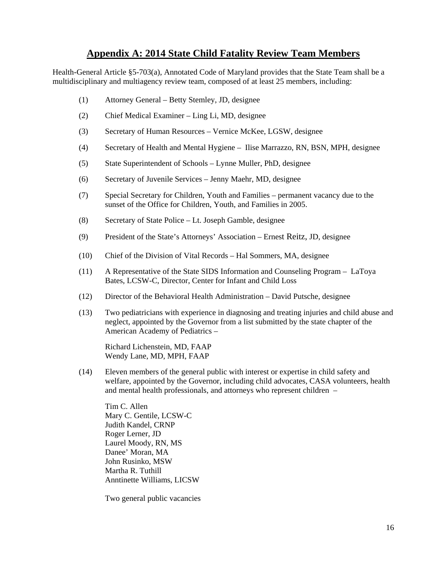### **Appendix A: 2014 State Child Fatality Review Team Members**

Health-General Article §5-703(a), Annotated Code of Maryland provides that the State Team shall be a multidisciplinary and multiagency review team, composed of at least 25 members, including:

- (1) Attorney General Betty Stemley, JD, designee
- (2) Chief Medical Examiner Ling Li, MD, designee
- (3) Secretary of Human Resources Vernice McKee, LGSW, designee
- (4) Secretary of Health and Mental Hygiene Ilise Marrazzo, RN, BSN, MPH, designee
- (5) State Superintendent of Schools Lynne Muller, PhD, designee
- (6) Secretary of Juvenile Services Jenny Maehr, MD, designee
- (7) Special Secretary for Children, Youth and Families permanent vacancy due to the sunset of the Office for Children, Youth, and Families in 2005.
- (8) Secretary of State Police Lt. Joseph Gamble, designee
- (9) President of the State's Attorneys' Association Ernest Reitz, JD, designee
- (10) Chief of the Division of Vital Records Hal Sommers, MA, designee
- (11) A Representative of the State SIDS Information and Counseling Program LaToya Bates, LCSW-C, Director, Center for Infant and Child Loss
- (12) Director of the Behavioral Health Administration David Putsche, designee
- (13) Two pediatricians with experience in diagnosing and treating injuries and child abuse and neglect, appointed by the Governor from a list submitted by the state chapter of the American Academy of Pediatrics –

Richard Lichenstein, MD, FAAP Wendy Lane, MD, MPH, FAAP

(14) Eleven members of the general public with interest or expertise in child safety and welfare, appointed by the Governor, including child advocates, CASA volunteers, health and mental health professionals, and attorneys who represent children –

 Tim C. Allen Mary C. Gentile, LCSW-C Judith Kandel, CRNP Roger Lerner, JD Laurel Moody, RN, MS Danee' Moran, MA John Rusinko, MSW Martha R. Tuthill Anntinette Williams, LICSW

Two general public vacancies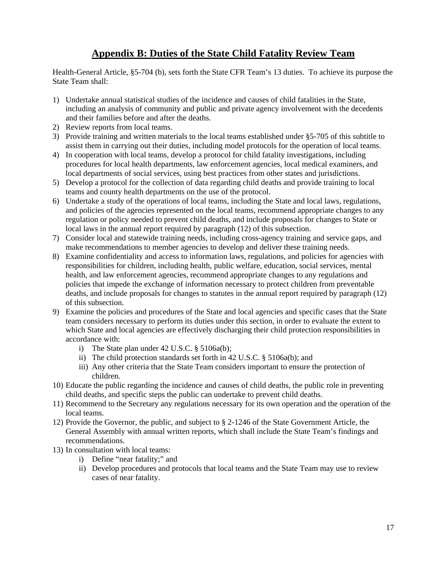### **Appendix B: Duties of the State Child Fatality Review Team**

Health-General Article, §5-704 (b), sets forth the State CFR Team's 13 duties. To achieve its purpose the State Team shall:

- 1) Undertake annual statistical studies of the incidence and causes of child fatalities in the State, including an analysis of community and public and private agency involvement with the decedents and their families before and after the deaths.
- 2) Review reports from local teams.
- 3) Provide training and written materials to the local teams established under §5-705 of this subtitle to assist them in carrying out their duties, including model protocols for the operation of local teams.
- 4) In cooperation with local teams, develop a protocol for child fatality investigations, including procedures for local health departments, law enforcement agencies, local medical examiners, and local departments of social services, using best practices from other states and jurisdictions.
- 5) Develop a protocol for the collection of data regarding child deaths and provide training to local teams and county health departments on the use of the protocol.
- 6) Undertake a study of the operations of local teams, including the State and local laws, regulations, and policies of the agencies represented on the local teams, recommend appropriate changes to any regulation or policy needed to prevent child deaths, and include proposals for changes to State or local laws in the annual report required by paragraph (12) of this subsection.
- 7) Consider local and statewide training needs, including cross-agency training and service gaps, and make recommendations to member agencies to develop and deliver these training needs.
- 8) Examine confidentiality and access to information laws, regulations, and policies for agencies with responsibilities for children, including health, public welfare, education, social services, mental health, and law enforcement agencies, recommend appropriate changes to any regulations and policies that impede the exchange of information necessary to protect children from preventable deaths, and include proposals for changes to statutes in the annual report required by paragraph (12) of this subsection.
- 9) Examine the policies and procedures of the State and local agencies and specific cases that the State team considers necessary to perform its duties under this section, in order to evaluate the extent to which State and local agencies are effectively discharging their child protection responsibilities in accordance with:
	- i) The State plan under 42 U.S.C. § 5106a(b);
	- ii) The child protection standards set forth in 42 U.S.C. § 5106a(b); and
	- iii) Any other criteria that the State Team considers important to ensure the protection of children.
- 10) Educate the public regarding the incidence and causes of child deaths, the public role in preventing child deaths, and specific steps the public can undertake to prevent child deaths.
- 11) Recommend to the Secretary any regulations necessary for its own operation and the operation of the local teams.
- 12) Provide the Governor, the public, and subject to § 2-1246 of the State Government Article, the General Assembly with annual written reports, which shall include the State Team's findings and recommendations.
- 13) In consultation with local teams:
	- i) Define "near fatality;" and
	- ii) Develop procedures and protocols that local teams and the State Team may use to review cases of near fatality.